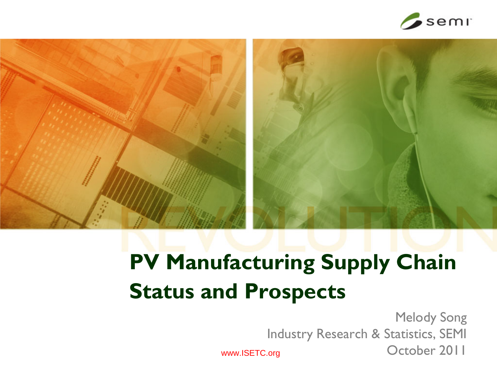

## **PV Manufacturing Supply Chain Status and Prospects**

1 October 2011 Melody Song Industry Research & Statistics, SEMI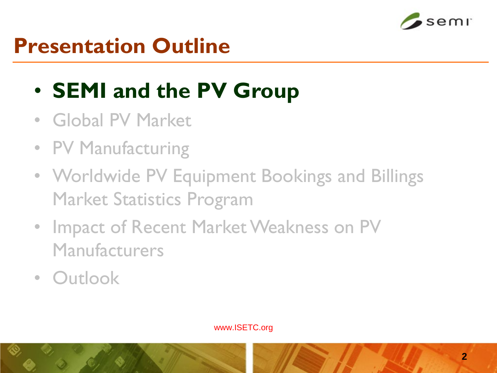

#### **Presentation Outline**

## • **SEMI and the PV Group**

- Global PV Market
- PV Manufacturing
- Worldwide PV Equipment Bookings and Billings Market Statistics Program
- Impact of Recent Market Weakness on PV Manufacturers
- Outlook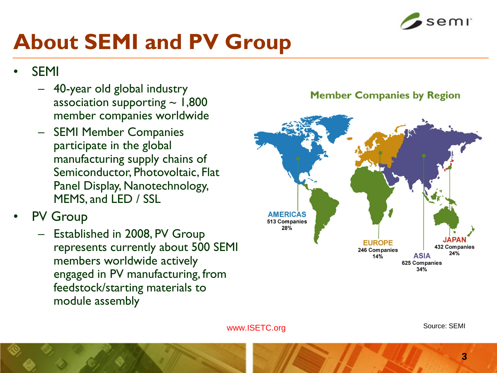

## **About SEMI and PV Group**

- **SEMI** 
	- 40-year old global industry association supporting  $\sim 1,800$ member companies worldwide
	- SEMI Member Companies participate in the global manufacturing supply chains of Semiconductor, Photovoltaic, Flat Panel Display, Nanotechnology, MEMS, and LED / SSL
- **PV Group** 
	- Established in 2008, PV Group represents currently about 500 SEMI members worldwide actively engaged in PV manufacturing, from feedstock/starting materials to module assembly



**Member Companies by Region**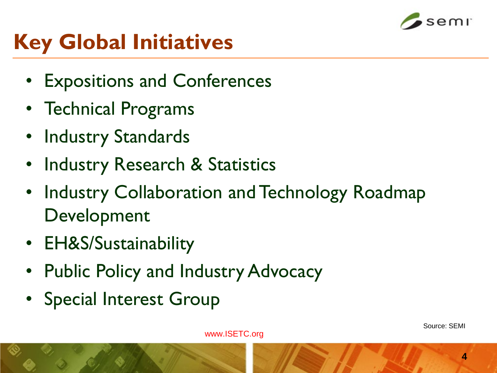

## **Key Global Initiatives**

- Expositions and Conferences
- Technical Programs
- Industry Standards
- Industry Research & Statistics
- Industry Collaboration and Technology Roadmap Development
- EH&S/Sustainability
- Public Policy and Industry Advocacy
- Special Interest Group

www.ISETC.org

**4**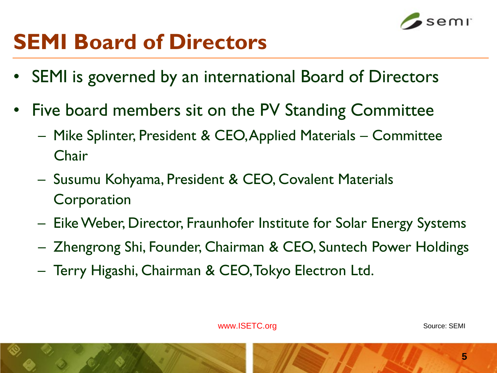

### **SEMI Board of Directors**

- SEMI is governed by an international Board of Directors
- Five board members sit on the PV Standing Committee
	- Mike Splinter, President & CEO, Applied Materials Committee Chair
	- Susumu Kohyama, President & CEO, Covalent Materials **Corporation**
	- Eike Weber, Director, Fraunhofer Institute for Solar Energy Systems
	- Zhengrong Shi, Founder, Chairman & CEO, Suntech Power Holdings
	- Terry Higashi, Chairman & CEO, Tokyo Electron Ltd.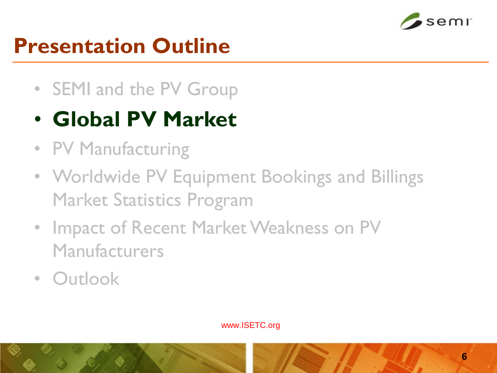

#### **Presentation Outline**

- SEMI and the PV Group
- **Global PV Market**
- PV Manufacturing
- Worldwide PV Equipment Bookings and Billings Market Statistics Program
- Impact of Recent Market Weakness on PV Manufacturers
- Outlook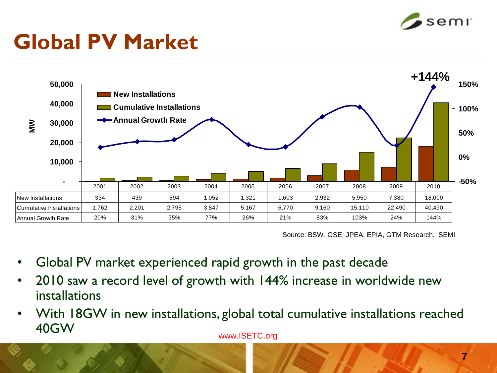

### **Global PV Market**



Source: BSW, GSE, JPEA, EPIA, GTM Research, SEMI

- Global PV market experienced rapid growth in the past decade
- 2010 saw a record level of growth with 144% increase in worldwide new installations
- With 18GW in new installations, global total cumulative installations reached 40GW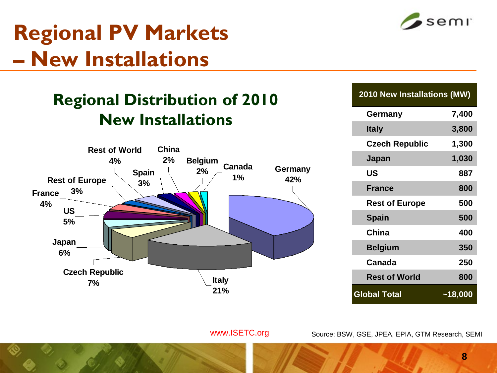### **Regional PV Markets – New Installations**

#### **Regional Distribution of 2010 New Installations**



| <b>2010 New Installations (MW)</b> |           |  |  |  |
|------------------------------------|-----------|--|--|--|
| Germany                            | 7,400     |  |  |  |
| <b>Italy</b>                       | 3,800     |  |  |  |
| <b>Czech Republic</b>              | 1,300     |  |  |  |
| Japan                              | 1,030     |  |  |  |
| US                                 | 887       |  |  |  |
| <b>France</b>                      | 800       |  |  |  |
| <b>Rest of Europe</b>              | 500       |  |  |  |
| <b>Spain</b>                       | 500       |  |  |  |
| China                              | 400       |  |  |  |
| <b>Belgium</b>                     | 350       |  |  |  |
| Canada                             | 250       |  |  |  |
| <b>Rest of World</b>               | 800       |  |  |  |
| <b>Global Total</b>                | $-18,000$ |  |  |  |

www.ISETC.org

Source: BSW, GSE, JPEA, EPIA, GTM Research, SEMI

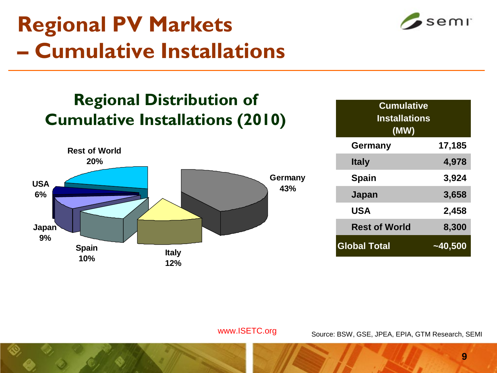## **Regional PV Markets – Cumulative Installations**

#### **Regional Distribution of Cumulative Installations (2010)**



| <b>Cumulative</b><br><b>Installations</b><br>(MW) |         |  |  |  |
|---------------------------------------------------|---------|--|--|--|
| <b>Germany</b>                                    | 17,185  |  |  |  |
| <b>Italy</b>                                      | 4,978   |  |  |  |
| <b>Spain</b>                                      | 3,924   |  |  |  |
| Japan                                             | 3,658   |  |  |  |
| <b>USA</b>                                        | 2,458   |  |  |  |
| <b>Rest of World</b>                              | 8,300   |  |  |  |
| <b>Global Total</b>                               | ~40,500 |  |  |  |

www.ISETC.org

Source: BSW, GSE, JPEA, EPIA, GTM Research, SEMI

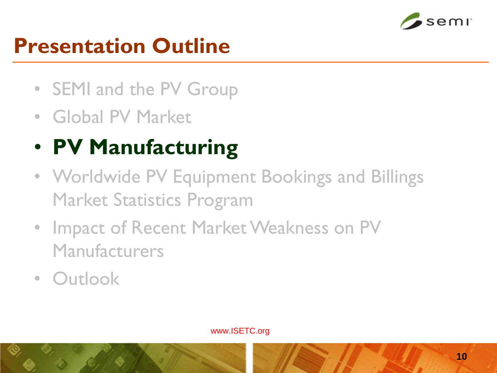

### **Presentation Outline**

- SEMI and the PV Group
- Global PV Market

## • **PV Manufacturing**

- Worldwide PV Equipment Bookings and Billings Market Statistics Program
- Impact of Recent Market Weakness on PV Manufacturers
- Outlook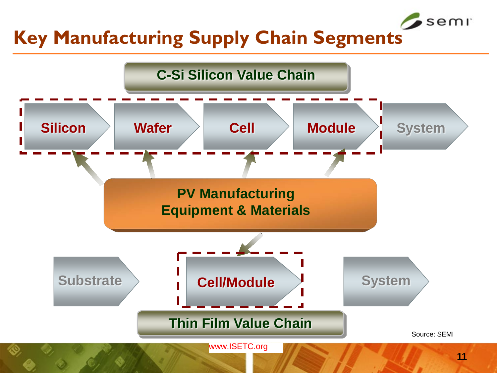#### **Key Manufacturing Supply Chain Segments**



semr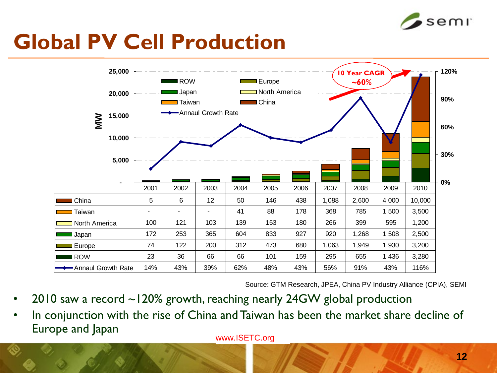

### **Global PV Cell Production**



Source: GTM Research, JPEA, China PV Industry Alliance (CPIA), SEMI

- 2010 saw a record ~120% growth, reaching nearly 24GW global production
- In conjunction with the rise of China and Taiwan has been the market share decline of Europe and Japan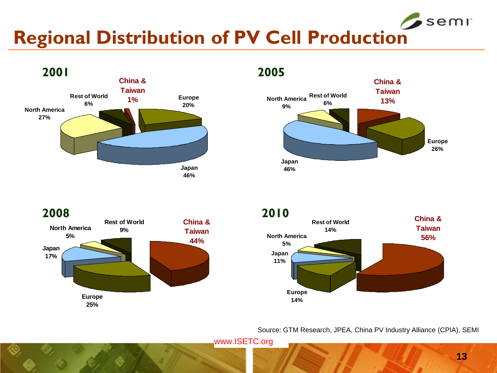#### semr **Regional Distribution of PV Cell Production**





**Europe 25% Japan 17% North America 5% Rest of World 9% China & Taiwan 44% 2008 2010**



Source: GTM Research, JPEA, China PV Industry Alliance (CPIA), SEMI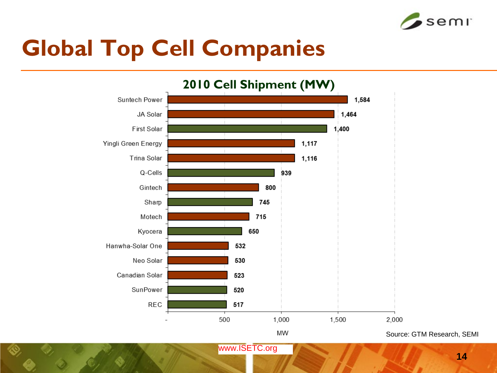

## **Global Top Cell Companies**



Source: GTM Research, SEMI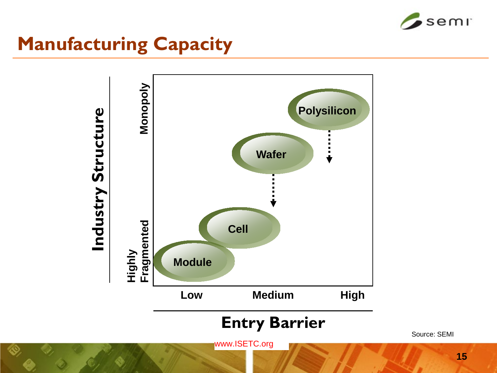

#### **Manufacturing Capacity**



#### **Entry Barrier**

www.ISETC.org

Source: SEMI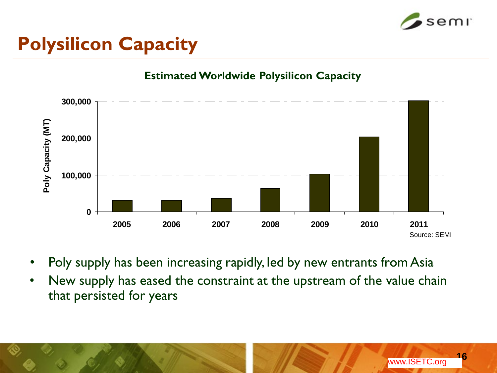

#### **Polysilicon Capacity**

#### **Estimated Worldwide Polysilicon Capacity**



- Poly supply has been increasing rapidly, led by new entrants from Asia
- New supply has eased the constraint at the upstream of the value chain that persisted for years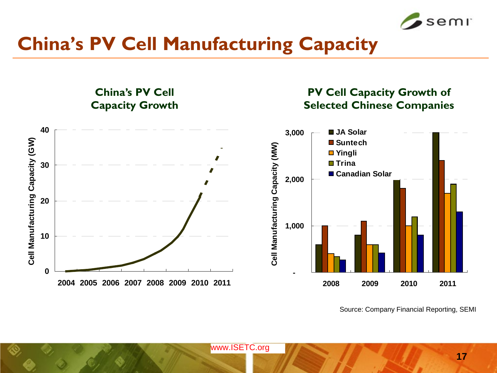

**PV Cell Capacity Growth of** 

#### **China's PV Cell Manufacturing Capacity**

**China's PV Cell** 

#### **Capacity Growth Selected Chinese Companies 40 JA Solar 3,000** Cell Manufacturing Capacity (GW) **Cell Manufacturing Capacity (GW) Suntech** Cell Manufacturing Capacity (MW) **Cell Manufacturing Capacity (MW) Yingli Trina 30 Canadian Solar 2,000 20 1,000 10 0 - 2004 2005 2006 2007 2008 2009 2010 2011 2008 2009 2010 2011**

Source: Company Financial Reporting, SEMI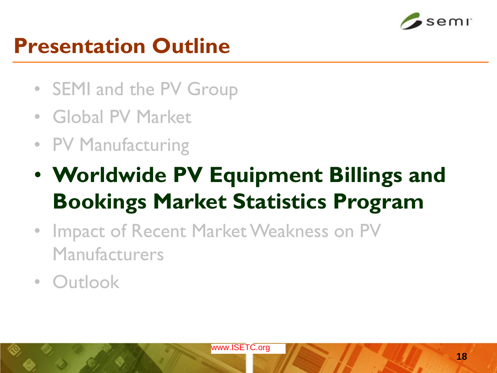

#### **Presentation Outline**

- SEMI and the PV Group
- Global PV Market
- PV Manufacturing
- **Worldwide PV Equipment Billings and Bookings Market Statistics Program**
- Impact of Recent Market Weakness on PV Manufacturers
- Outlook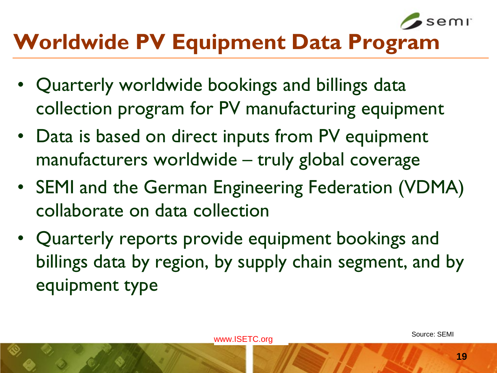

## **Worldwide PV Equipment Data Program**

- Quarterly worldwide bookings and billings data collection program for PV manufacturing equipment
- Data is based on direct inputs from PV equipment manufacturers worldwide – truly global coverage
- SEMI and the German Engineering Federation (VDMA) collaborate on data collection
- Quarterly reports provide equipment bookings and billings data by region, by supply chain segment, and by equipment type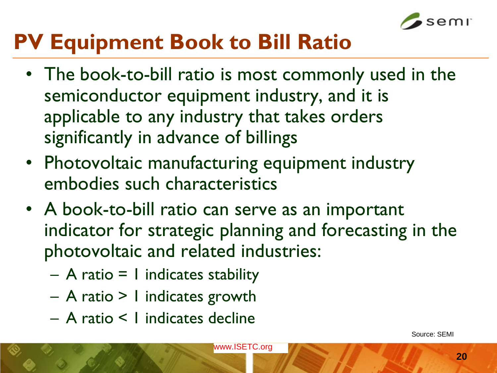

### **PV Equipment Book to Bill Ratio**

- The book-to-bill ratio is most commonly used in the semiconductor equipment industry, and it is applicable to any industry that takes orders significantly in advance of billings
- Photovoltaic manufacturing equipment industry embodies such characteristics
- A book-to-bill ratio can serve as an important indicator for strategic planning and forecasting in the photovoltaic and related industries:
	- $-$  A ratio = 1 indicates stability
	- A ratio > 1 indicates growth
	- A ratio < 1 indicates decline

Source: SEMI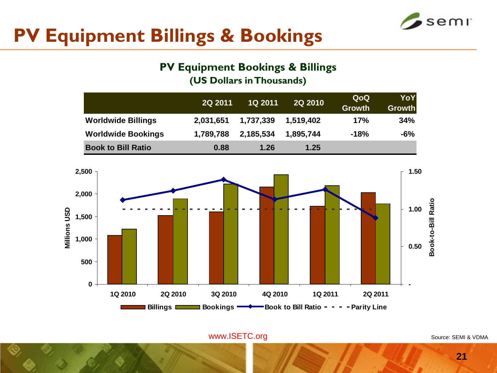

#### **PV Equipment Billings & Bookings**

#### **PV Equipment Bookings & Billings**

**(US Dollars in Thousands)**

|                           | 2Q 2011   | <b>1Q 2011</b> | <b>2Q 2010</b> | QoQ<br><b>Growth</b> | YoY<br><b>Growth</b> |
|---------------------------|-----------|----------------|----------------|----------------------|----------------------|
| <b>Worldwide Billings</b> | 2,031,651 | 1,737,339      | 1,519,402      | 17%                  | 34%                  |
| <b>Worldwide Bookings</b> | 1,789,788 | 2,185,534      | 1,895,744      | $-18%$               | $-6%$                |
| <b>Book to Bill Ratio</b> | 0.88      | 1.26           | 1.25           |                      |                      |



Source: SEMI & VDMA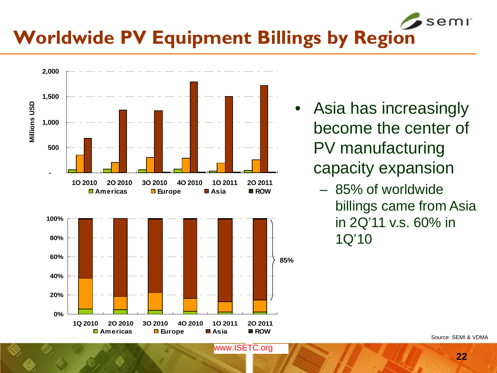#### semr **Worldwide PV Equipment Billings by Region**



- Asia has increasingly become the center of PV manufacturing capacity expansion
	- 85% of worldwide billings came from Asia in 2Q'11 v.s. 60% in 1Q'10

Source: SEMI & VDMA

**22**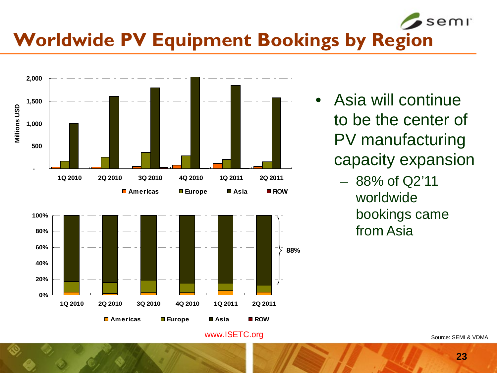#### semr **Worldwide PV Equipment Bookings by Region**





- Asia will continue to be the center of PV manufacturing capacity expansion
	- 88% of Q2'11 worldwide bookings came from Asia

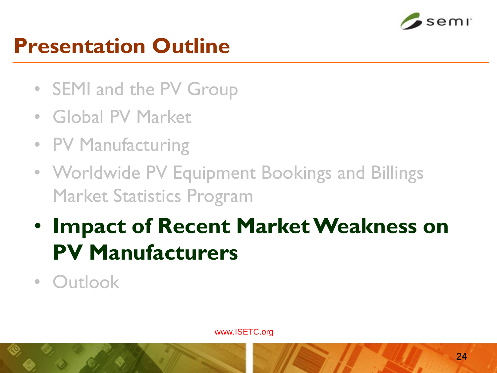

#### **Presentation Outline**

- SEMI and the PV Group
- Global PV Market
- PV Manufacturing
- Worldwide PV Equipment Bookings and Billings Market Statistics Program
- **Impact of Recent Market Weakness on PV Manufacturers**
- Outlook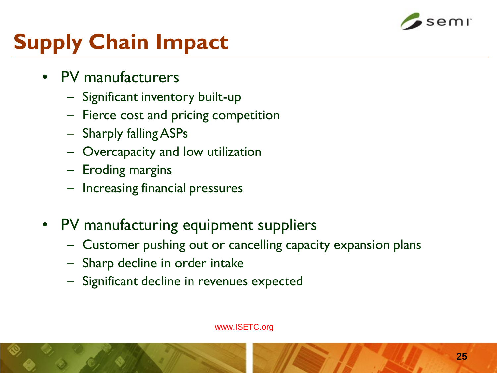

## **Supply Chain Impact**

- PV manufacturers
	- Significant inventory built-up
	- Fierce cost and pricing competition
	- Sharply falling ASPs
	- Overcapacity and low utilization
	- Eroding margins
	- Increasing financial pressures
- PV manufacturing equipment suppliers
	- Customer pushing out or cancelling capacity expansion plans
	- Sharp decline in order intake
	- Significant decline in revenues expected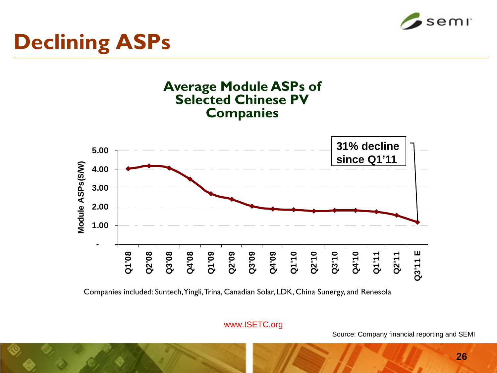

## **Declining ASPs**



Companies included: Suntech, Yingli, Trina, Canadian Solar, LDK, China Sunergy, and Renesola

www.ISETC.org

Source: Company financial reporting and SEMI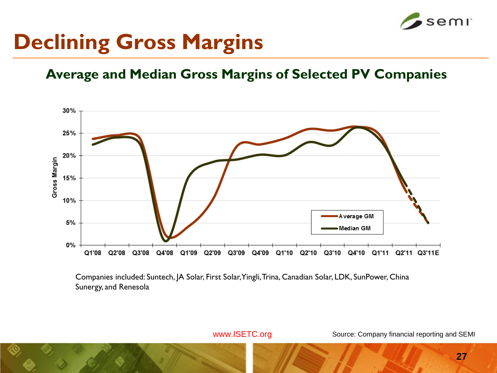

#### **Declining Gross Margins**

#### **Average and Median Gross Margins of Selected PV Companies**



Companies included: Suntech, JA Solar, First Solar, Yingli, Trina, Canadian Solar, LDK, SunPower, China Sunergy, and Renesola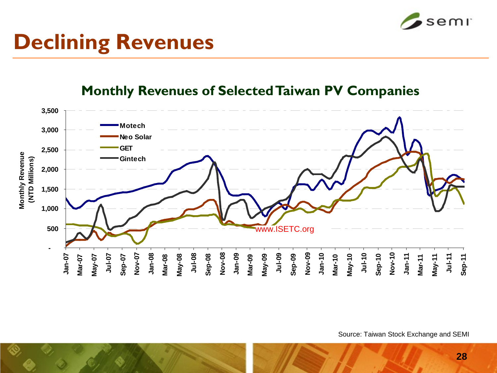

## **Declining Revenues**

#### **Monthly Revenues of Selected Taiwan PV Companies**



Source: Taiwan Stock Exchange and SEMI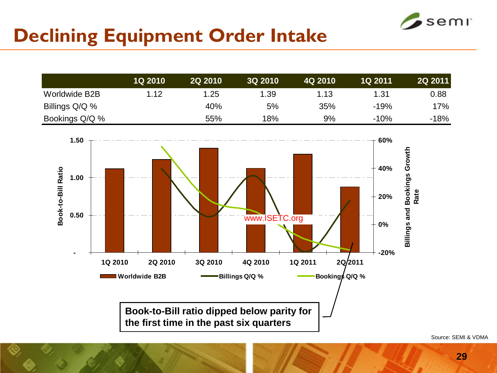

#### **Declining Equipment Order Intake**

|                | <b>1Q 2010</b> | <b>2Q 2010</b> | <b>3Q 2010</b> | 4Q 2010 | <b>1Q 2011</b> | <b>2Q 2011</b> |
|----------------|----------------|----------------|----------------|---------|----------------|----------------|
| Worldwide B2B  | 1.12           | 1.25           | 1.39           | 1.13    | 1.31           | 0.88           |
| Billings Q/Q % |                | 40%            | 5%             | 35%     | $-19%$         | 17%            |
| Bookings Q/Q % |                | 55%            | 18%            | 9%      | $-10%$         | -18%           |



Source: SEMI & VDMA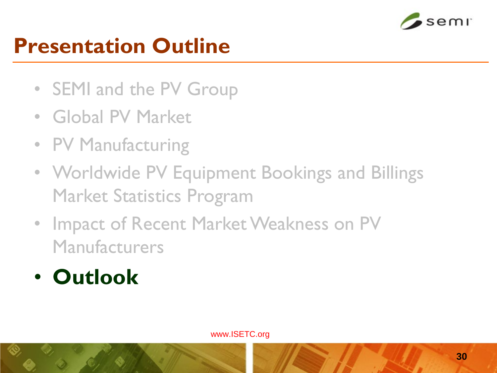

### **Presentation Outline**

- SEMI and the PV Group
- Global PV Market
- PV Manufacturing
- Worldwide PV Equipment Bookings and Billings Market Statistics Program
- Impact of Recent Market Weakness on PV Manufacturers
- **Outlook**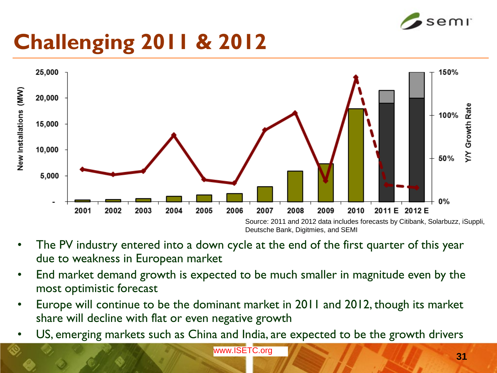

## **Challenging 2011 & 2012**



- The PV industry entered into a down cycle at the end of the first quarter of this year due to weakness in European market
- End market demand growth is expected to be much smaller in magnitude even by the most optimistic forecast
- Europe will continue to be the dominant market in 2011 and 2012, though its market share will decline with flat or even negative growth
- US, emerging markets such as China and India, are expected to be the growth drivers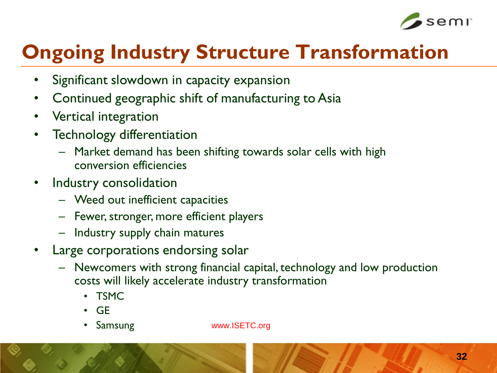

#### **Ongoing Industry Structure Transformation**

- Significant slowdown in capacity expansion
- Continued geographic shift of manufacturing to Asia
- Vertical integration
- Technology differentiation
	- Market demand has been shifting towards solar cells with high conversion efficiencies
- Industry consolidation
	- Weed out inefficient capacities
	- Fewer, stronger, more efficient players
	- Industry supply chain matures
- Large corporations endorsing solar
	- Newcomers with strong financial capital, technology and low production costs will likely accelerate industry transformation
		- TSMC
		- GE
		- Samsung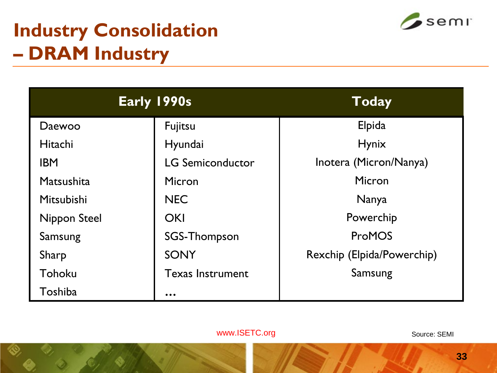#### **Industry Consolidation – DRAM Industry**



| Early 1990s         |                         | <b>Today</b>               |  |
|---------------------|-------------------------|----------------------------|--|
| Daewoo              | Fujitsu                 | Elpida                     |  |
| Hitachi             | Hyundai                 | <b>Hynix</b>               |  |
| <b>IBM</b>          | <b>LG Semiconductor</b> | Inotera (Micron/Nanya)     |  |
| Matsushita          | Micron                  | Micron                     |  |
| Mitsubishi          | <b>NEC</b>              | Nanya                      |  |
| <b>Nippon Steel</b> | <b>OKI</b>              | Powerchip                  |  |
| Samsung             | SGS-Thompson            | ProMOS                     |  |
| Sharp               | <b>SONY</b>             | Rexchip (Elpida/Powerchip) |  |
| Tohoku              | <b>Texas Instrument</b> | Samsung                    |  |
| Toshiba             | $\bullet\bullet\bullet$ |                            |  |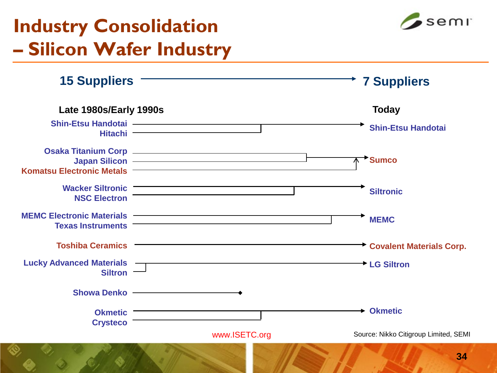#### **Industry Consolidation – Silicon Wafer Industry**

**15 Suppliers 7 Suppliers**



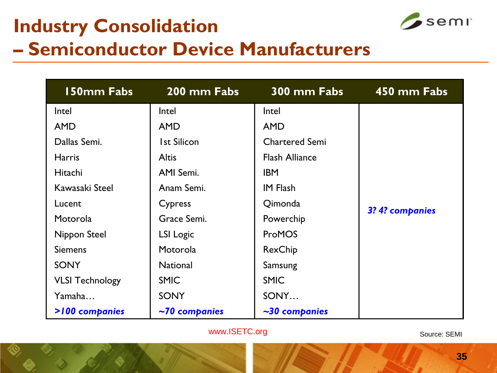## **Industry Consolidation**



#### **– Semiconductor Device Manufacturers**

| 150mm Fabs             | 200 mm Fabs                | 300 mm Fabs           | 450 mm Fabs     |
|------------------------|----------------------------|-----------------------|-----------------|
| Intel                  | Intel                      | Intel                 |                 |
| <b>AMD</b>             | <b>AMD</b>                 | <b>AMD</b>            |                 |
| Dallas Semi.           | <b>Ist Silicon</b>         | <b>Chartered Semi</b> |                 |
| <b>Harris</b>          | <b>Altis</b>               | <b>Flash Alliance</b> |                 |
| Hitachi                | AMI Semi.                  | <b>IBM</b>            |                 |
| Kawasaki Steel         | Anam Semi.                 | <b>IM Flash</b>       |                 |
| Lucent                 | Cypress                    | Qimonda               | 3? 4? companies |
| Motorola               | Grace Semi.                | Powerchip             |                 |
| Nippon Steel           | LSI Logic                  | <b>ProMOS</b>         |                 |
| <b>Siemens</b>         | Motorola<br>RexChip        |                       |                 |
| <b>SONY</b>            | <b>National</b><br>Samsung |                       |                 |
| <b>VLSI Technology</b> | <b>SMIC</b>                | <b>SMIC</b>           |                 |
| Yamaha                 | <b>SONY</b>                | SONY                  |                 |
| >100 companies         | $\sim$ 70 companies        | $\sim$ 30 companies   |                 |

www.ISETC.org

Source: SEMI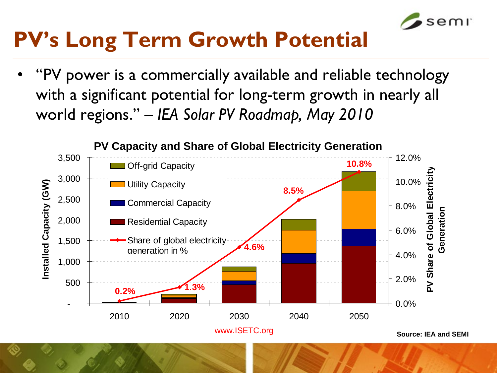

## **PV's Long Term Growth Potential**

• "PV power is a commercially available and reliable technology with a significant potential for long-term growth in nearly all world regions." – *IEA Solar PV Roadmap, May 2010*

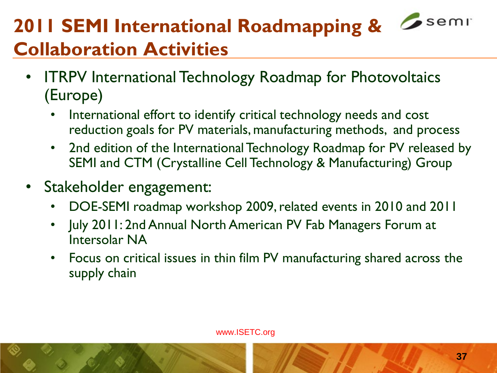## **2011 SEMI International Roadmapping &** *C***seming Collaboration Activities**

- ITRPV International Technology Roadmap for Photovoltaics (Europe)
	- International effort to identify critical technology needs and cost reduction goals for PV materials, manufacturing methods, and process
	- 2nd edition of the International Technology Roadmap for PV released by SEMI and CTM (Crystalline Cell Technology & Manufacturing) Group
- Stakeholder engagement:
	- DOE-SEMI roadmap workshop 2009, related events in 2010 and 2011
	- July 2011: 2nd Annual North American PV Fab Managers Forum at Intersolar NA
	- Focus on critical issues in thin film PV manufacturing shared across the supply chain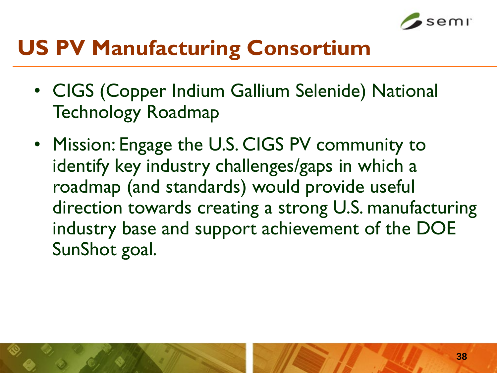

### **US PV Manufacturing Consortium**

- CIGS (Copper Indium Gallium Selenide) National Technology Roadmap
- Mission: Engage the U.S. CIGS PV community to identify key industry challenges/gaps in which a roadmap (and standards) would provide useful direction towards creating a strong U.S. manufacturing industry base and support achievement of the DOE SunShot goal.